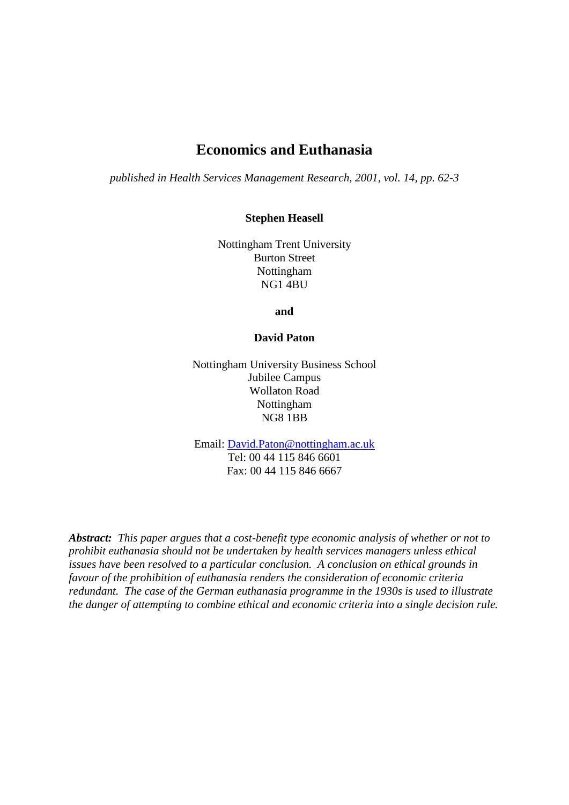## **Economics and Euthanasia**

*published in Health Services Management Research, 2001, vol. 14, pp. 62-3*

**Stephen Heasell** 

Nottingham Trent University Burton Street Nottingham NG1 4BU

**and** 

## **David Paton**

Nottingham University Business School Jubilee Campus Wollaton Road Nottingham NG8 1BB

Email: [David.Paton@nottingham.ac.uk](mailto:David.Paton@nottingham.ac.uk) Tel: 00 44 115 846 6601 Fax: 00 44 115 846 6667

*Abstract: This paper argues that a cost-benefit type economic analysis of whether or not to prohibit euthanasia should not be undertaken by health services managers unless ethical issues have been resolved to a particular conclusion. A conclusion on ethical grounds in favour of the prohibition of euthanasia renders the consideration of economic criteria redundant. The case of the German euthanasia programme in the 1930s is used to illustrate the danger of attempting to combine ethical and economic criteria into a single decision rule.*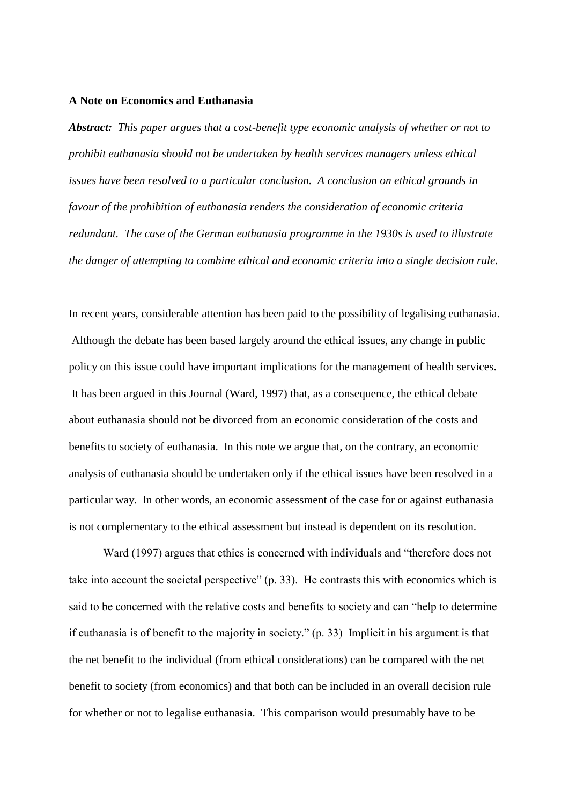## **A Note on Economics and Euthanasia**

*Abstract: This paper argues that a cost-benefit type economic analysis of whether or not to prohibit euthanasia should not be undertaken by health services managers unless ethical issues have been resolved to a particular conclusion. A conclusion on ethical grounds in favour of the prohibition of euthanasia renders the consideration of economic criteria redundant. The case of the German euthanasia programme in the 1930s is used to illustrate the danger of attempting to combine ethical and economic criteria into a single decision rule.*

In recent years, considerable attention has been paid to the possibility of legalising euthanasia. Although the debate has been based largely around the ethical issues, any change in public policy on this issue could have important implications for the management of health services. It has been argued in this Journal (Ward, 1997) that, as a consequence, the ethical debate about euthanasia should not be divorced from an economic consideration of the costs and benefits to society of euthanasia. In this note we argue that, on the contrary, an economic analysis of euthanasia should be undertaken only if the ethical issues have been resolved in a particular way. In other words, an economic assessment of the case for or against euthanasia is not complementary to the ethical assessment but instead is dependent on its resolution.

Ward (1997) argues that ethics is concerned with individuals and "therefore does not take into account the societal perspective" (p. 33). He contrasts this with economics which is said to be concerned with the relative costs and benefits to society and can "help to determine if euthanasia is of benefit to the majority in society." (p. 33) Implicit in his argument is that the net benefit to the individual (from ethical considerations) can be compared with the net benefit to society (from economics) and that both can be included in an overall decision rule for whether or not to legalise euthanasia. This comparison would presumably have to be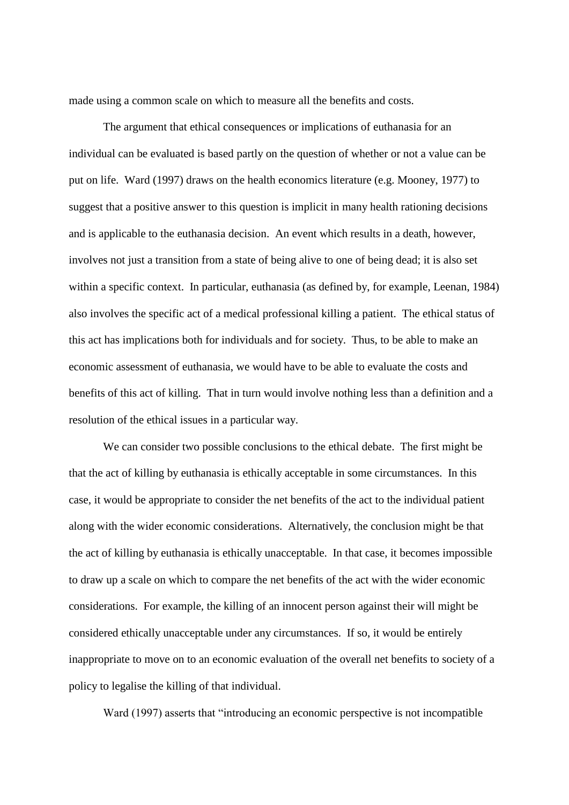made using a common scale on which to measure all the benefits and costs.

The argument that ethical consequences or implications of euthanasia for an individual can be evaluated is based partly on the question of whether or not a value can be put on life. Ward (1997) draws on the health economics literature (e.g. Mooney, 1977) to suggest that a positive answer to this question is implicit in many health rationing decisions and is applicable to the euthanasia decision. An event which results in a death, however, involves not just a transition from a state of being alive to one of being dead; it is also set within a specific context. In particular, euthanasia (as defined by, for example, Leenan, 1984) also involves the specific act of a medical professional killing a patient. The ethical status of this act has implications both for individuals and for society. Thus, to be able to make an economic assessment of euthanasia, we would have to be able to evaluate the costs and benefits of this act of killing. That in turn would involve nothing less than a definition and a resolution of the ethical issues in a particular way.

We can consider two possible conclusions to the ethical debate. The first might be that the act of killing by euthanasia is ethically acceptable in some circumstances. In this case, it would be appropriate to consider the net benefits of the act to the individual patient along with the wider economic considerations. Alternatively, the conclusion might be that the act of killing by euthanasia is ethically unacceptable. In that case, it becomes impossible to draw up a scale on which to compare the net benefits of the act with the wider economic considerations. For example, the killing of an innocent person against their will might be considered ethically unacceptable under any circumstances. If so, it would be entirely inappropriate to move on to an economic evaluation of the overall net benefits to society of a policy to legalise the killing of that individual.

Ward (1997) asserts that "introducing an economic perspective is not incompatible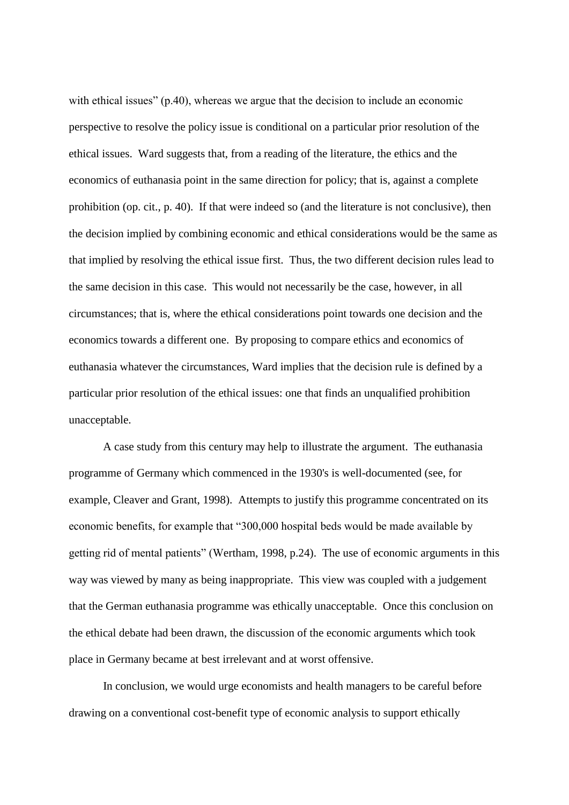with ethical issues" (p.40), whereas we argue that the decision to include an economic perspective to resolve the policy issue is conditional on a particular prior resolution of the ethical issues. Ward suggests that, from a reading of the literature, the ethics and the economics of euthanasia point in the same direction for policy; that is, against a complete prohibition (op. cit., p. 40). If that were indeed so (and the literature is not conclusive), then the decision implied by combining economic and ethical considerations would be the same as that implied by resolving the ethical issue first. Thus, the two different decision rules lead to the same decision in this case. This would not necessarily be the case, however, in all circumstances; that is, where the ethical considerations point towards one decision and the economics towards a different one. By proposing to compare ethics and economics of euthanasia whatever the circumstances, Ward implies that the decision rule is defined by a particular prior resolution of the ethical issues: one that finds an unqualified prohibition unacceptable.

A case study from this century may help to illustrate the argument. The euthanasia programme of Germany which commenced in the 1930's is well-documented (see, for example, Cleaver and Grant, 1998). Attempts to justify this programme concentrated on its economic benefits, for example that "300,000 hospital beds would be made available by getting rid of mental patients" (Wertham, 1998, p.24). The use of economic arguments in this way was viewed by many as being inappropriate. This view was coupled with a judgement that the German euthanasia programme was ethically unacceptable. Once this conclusion on the ethical debate had been drawn, the discussion of the economic arguments which took place in Germany became at best irrelevant and at worst offensive.

In conclusion, we would urge economists and health managers to be careful before drawing on a conventional cost-benefit type of economic analysis to support ethically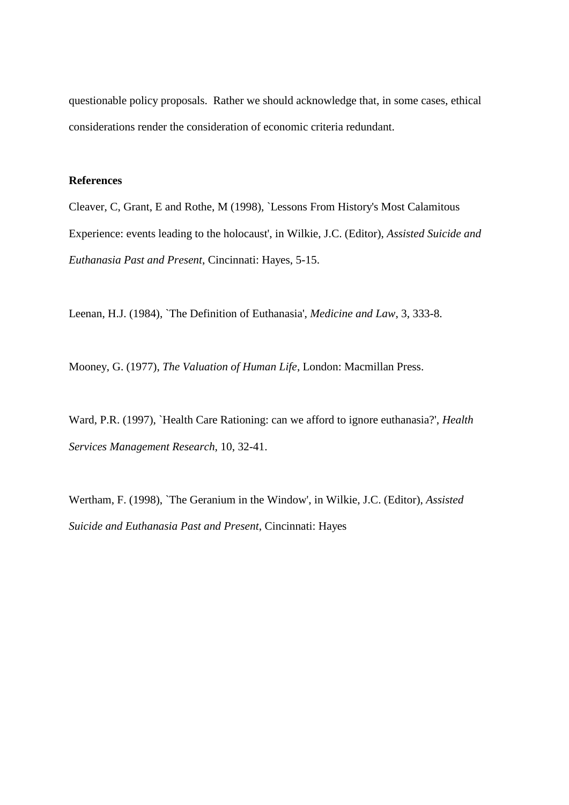questionable policy proposals. Rather we should acknowledge that, in some cases, ethical considerations render the consideration of economic criteria redundant.

## **References**

Cleaver, C, Grant, E and Rothe, M (1998), `Lessons From History's Most Calamitous Experience: events leading to the holocaust', in Wilkie, J.C. (Editor), *Assisted Suicide and Euthanasia Past and Present*, Cincinnati: Hayes, 5-15.

Leenan, H.J. (1984), `The Definition of Euthanasia', *Medicine and Law*, 3, 333-8.

Mooney, G. (1977), *The Valuation of Human Life*, London: Macmillan Press.

Ward, P.R. (1997), `Health Care Rationing: can we afford to ignore euthanasia?', *Health Services Management Research*, 10, 32-41.

Wertham, F. (1998), `The Geranium in the Window', in Wilkie, J.C. (Editor), *Assisted Suicide and Euthanasia Past and Present*, Cincinnati: Hayes